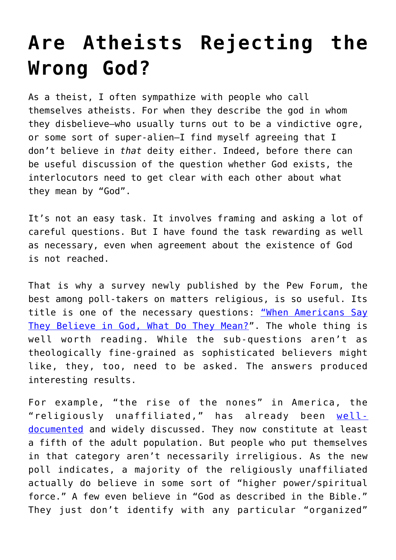## **[Are Atheists Rejecting the](https://intellectualtakeout.org/2018/05/are-atheists-rejecting-the-wrong-god/) [Wrong God?](https://intellectualtakeout.org/2018/05/are-atheists-rejecting-the-wrong-god/)**

As a theist, I often sympathize with people who call themselves atheists. For when they describe the god in whom they disbelieve—who usually turns out to be a vindictive ogre, or some sort of super-alien—I find myself agreeing that I don't believe in *that* deity either. Indeed, before there can be useful discussion of the question whether God exists, the interlocutors need to get clear with each other about what they mean by "God".

It's not an easy task. It involves framing and asking a lot of careful questions. But I have found the task rewarding as well as necessary, even when agreement about the existence of God is not reached.

That is why a survey newly published by the Pew Forum, the best among poll-takers on matters religious, is so useful. Its title is one of the necessary questions: ["When Americans Say](http://www.pewforum.org/2018/04/25/when-americans-say-they-believe-in-god-what-do-they-mean/) [They Believe in God, What Do They Mean?](http://www.pewforum.org/2018/04/25/when-americans-say-they-believe-in-god-what-do-they-mean/)". The whole thing is well worth reading. While the sub-questions aren't as theologically fine-grained as sophisticated believers might like, they, too, need to be asked. The answers produced interesting results.

For example, "the rise of the nones" in America, the "religiously unaffiliated," has already been [well](https://www.amazon.com/dp/B00GHXRIE0/ref=dp-kindle-redirect?_encoding=UTF8&btkr=1)[documented](https://www.amazon.com/dp/B00GHXRIE0/ref=dp-kindle-redirect?_encoding=UTF8&btkr=1) and widely discussed. They now constitute at least a fifth of the adult population. But people who put themselves in that category aren't necessarily irreligious. As the new poll indicates, a majority of the religiously unaffiliated actually do believe in some sort of "higher power/spiritual force." A few even believe in "God as described in the Bible." They just don't identify with any particular "organized"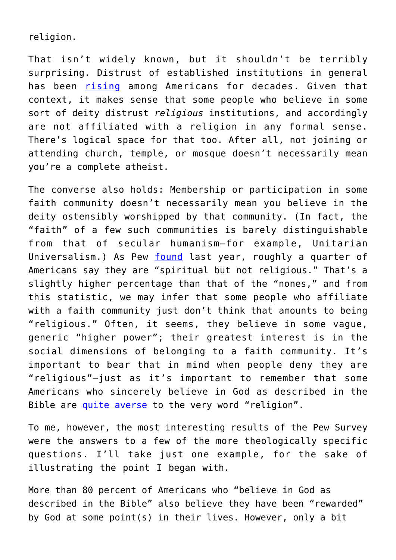religion.

That isn't widely known, but it shouldn't be terribly surprising. Distrust of established institutions in general has been [rising](https://hbr.org/2017/01/survey-peoples-trust-has-declined-in-business-media-government-and-ngos) among Americans for decades. Given that context, it makes sense that some people who believe in some sort of deity distrust *religious* institutions, and accordingly are not affiliated with a religion in any formal sense. There's logical space for that too. After all, not joining or attending church, temple, or mosque doesn't necessarily mean you're a complete atheist.

The converse also holds: Membership or participation in some faith community doesn't necessarily mean you believe in the deity ostensibly worshipped by that community. (In fact, the "faith" of a few such communities is barely distinguishable from that of secular humanism—for example, Unitarian Universalism.) As Pew [found](http://www.pewresearch.org/fact-tank/2017/09/06/more-americans-now-say-theyre-spiritual-but-not-religious/) last year, roughly a quarter of Americans say they are "spiritual but not religious." That's a slightly higher percentage than that of the "nones," and from this statistic, we may infer that some people who affiliate with a faith community just don't think that amounts to being "religious." Often, it seems, they believe in some vague, generic "higher power"; their greatest interest is in the social dimensions of belonging to a faith community. It's important to bear that in mind when people deny they are "religious"—just as it's important to remember that some Americans who sincerely believe in God as described in the Bible are [quite averse](https://en.wikipedia.org/wiki/Why_I_Hate_Religion,_But_Love_Jesus) to the very word "religion".

To me, however, the most interesting results of the Pew Survey were the answers to a few of the more theologically specific questions. I'll take just one example, for the sake of illustrating the point I began with.

More than 80 percent of Americans who "believe in God as described in the Bible" also believe they have been "rewarded" by God at some point(s) in their lives. However, only a bit